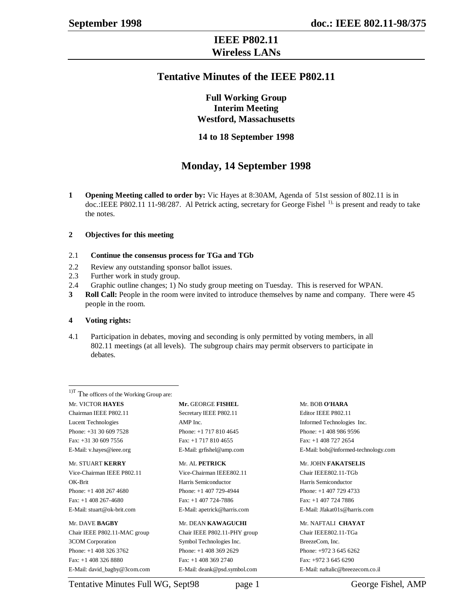### **IEEE P802.11 Wireless LANs**

### **Tentative Minutes of the IEEE P802.11**

**Full Working Group Interim Meeting Westford, Massachusetts**

### **14 to 18 September 1998**

## **Monday, 14 September 1998**

**1 Opening Meeting called to order by:** Vic Hayes at 8:30AM, Agenda of 51st session of 802.11 is in doc.:IEEE P802.11 11-98/287. Al Petrick acting, secretary for George Fishel <sup>1),</sup> is present and ready to take the notes.

### **2 Objectives for this meeting**

### 2.1 **Continue the consensus process for TGa and TGb**

- 2.2 Review any outstanding sponsor ballot issues.
- 2.3 Further work in study group.
- 2.4 Graphic outline changes; 1) No study group meeting on Tuesday. This is reserved for WPAN.
- **3 Roll Call:** People in the room were invited to introduce themselves by name and company. There were 45 people in the room.

### **4 Voting rights:**

4.1 Participation in debates, moving and seconding is only permitted by voting members, in all 802.11 meetings (at all levels). The subgroup chairs may permit observers to participate in debates.

<sup>1)T</sup> The officers of the Working Group are: Mr. VICTOR **HAYES Mr.** GEORGE **FISHEL** Mr. BOB **O'HARA** Chairman IEEE P802.11 Secretary IEEE P802.11 Editor IEEE P802.11 Lucent Technologies **AMP** Inc. The contract of the Informed Technologies Inc. Phone: +31 30 609 7528 Phone: +1 717 810 4645 Phone: +1 408 986 9596 Fax: +1 30 609 7556 Fax: +1 717 810 4655 Fax: +1 +1 408 727 2654

 $\overline{a}$ 

Vice-Chairman IEEE P802.11 Vice-Chairman IEEE802.11 Chair IEEE802.11-TGb OK-Brit Harris Semiconductor Harris Semiconductor Phone: +1 408 267 4680 Phone: +1 407 729-4944 Phone: +1 407 729 4733 Fax: +1 408 267-4680 Fax: +1 407 724-7886 Fax: +1 407 724 7886 E-Mail: stuart@ok-brit.com E-Mail: apetrick@harris.com E-Mail: Jfakat01s@harris.com

Chair IEEE P802.11-MAC group Chair IEEE P802.11-PHY group Chair IEEE802.11-TGa 3COM Corporation Symbol Technologies Inc. BreezeCom, Inc. Phone: +1 408 326 3762 Phone: +1 408 369 2629 Phone: +972 3 645 6262 Fax: +1 408 326 8880 Fax: +1 408 369 2740 Fax: +972 3 645 6290 E-Mail: david\_bagby@3com.com E-Mail: deank@psd.symbol.com E-Mail: naftalic@breezecom.co.il

#### Mr. DAVE **BAGBY** Mr. DEAN **KAWAGUCHI** Mr. NAFTALI **CHAYAT**

E-Mail: v.hayes@ieee.org E-Mail: grfishel@amp.com E-Mail: bob@informed-technology.com

#### Mr. STUART **KERRY** Mr. AL **PETRICK** Mr. JOHN **FAKATSELIS**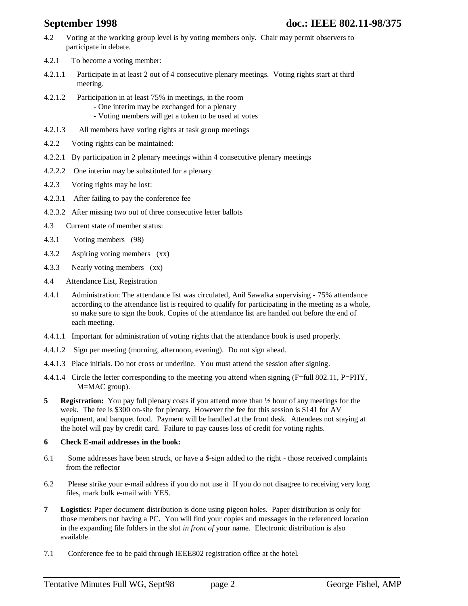- 4.2 Voting at the working group level is by voting members only. Chair may permit observers to participate in debate.
- 4.2.1 To become a voting member:
- 4.2.1.1 Participate in at least 2 out of 4 consecutive plenary meetings. Voting rights start at third meeting.
- 4.2.1.2 Participation in at least 75% in meetings, in the room

- One interim may be exchanged for a plenary

- Voting members will get a token to be used at votes
- 4.2.1.3 All members have voting rights at task group meetings
- 4.2.2 Voting rights can be maintained:
- 4.2.2.1 By participation in 2 plenary meetings within 4 consecutive plenary meetings
- 4.2.2.2 One interim may be substituted for a plenary
- 4.2.3 Voting rights may be lost:
- 4.2.3.1 After failing to pay the conference fee
- 4.2.3.2 After missing two out of three consecutive letter ballots
- 4.3 Current state of member status:
- 4.3.1 Voting members (98)
- 4.3.2 Aspiring voting members (xx)
- 4.3.3 Nearly voting members (xx)
- 4.4 Attendance List, Registration
- 4.4.1 Administration: The attendance list was circulated, Anil Sawalka supervising 75% attendance according to the attendance list is required to qualify for participating in the meeting as a whole, so make sure to sign the book. Copies of the attendance list are handed out before the end of each meeting.
- 4.4.1.1 Important for administration of voting rights that the attendance book is used properly.
- 4.4.1.2 Sign per meeting (morning, afternoon, evening). Do not sign ahead.
- 4.4.1.3 Place initials. Do not cross or underline. You must attend the session after signing.
- 4.4.1.4 Circle the letter corresponding to the meeting you attend when signing (F=full 802.11, P=PHY, M=MAC group).
- **5 Registration:** You pay full plenary costs if you attend more than  $\frac{1}{2}$  hour of any meetings for the week. The fee is \$300 on-site for plenary. However the fee for this session is \$141 for AV equipment, and banquet food. Payment will be handled at the front desk. Attendees not staying at the hotel will pay by credit card. Failure to pay causes loss of credit for voting rights.

### **6 Check E-mail addresses in the book:**

- 6.1 Some addresses have been struck, or have a \$-sign added to the right those received complaints from the reflector
- 6.2 Please strike your e-mail address if you do not use it If you do not disagree to receiving very long files, mark bulk e-mail with YES.
- **7 Logistics:** Paper document distribution is done using pigeon holes. Paper distribution is only for those members not having a PC. You will find your copies and messages in the referenced location in the expanding file folders in the slot *in front of* your name. Electronic distribution is also available.
- 7.1 Conference fee to be paid through IEEE802 registration office at the hotel.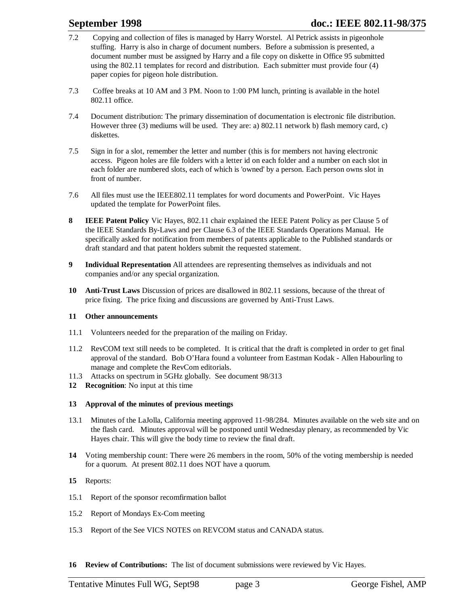- 7.2 Copying and collection of files is managed by Harry Worstel. Al Petrick assists in pigeonhole stuffing. Harry is also in charge of document numbers. Before a submission is presented, a document number must be assigned by Harry and a file copy on diskette in Office 95 submitted using the 802.11 templates for record and distribution. Each submitter must provide four (4) paper copies for pigeon hole distribution.
- 7.3 Coffee breaks at 10 AM and 3 PM. Noon to 1:00 PM lunch, printing is available in the hotel 802.11 office.
- 7.4 Document distribution: The primary dissemination of documentation is electronic file distribution. However three (3) mediums will be used. They are: a) 802.11 network b) flash memory card, c) diskettes.
- 7.5 Sign in for a slot, remember the letter and number (this is for members not having electronic access. Pigeon holes are file folders with a letter id on each folder and a number on each slot in each folder are numbered slots, each of which is 'owned' by a person. Each person owns slot in front of number.
- 7.6 All files must use the IEEE802.11 templates for word documents and PowerPoint. Vic Hayes updated the template for PowerPoint files.
- **8 IEEE Patent Policy** Vic Hayes, 802.11 chair explained the IEEE Patent Policy as per Clause 5 of the IEEE Standards By-Laws and per Clause 6.3 of the IEEE Standards Operations Manual. He specifically asked for notification from members of patents applicable to the Published standards or draft standard and that patent holders submit the requested statement.
- **9 Individual Representation** All attendees are representing themselves as individuals and not companies and/or any special organization.
- **10 Anti-Trust Laws** Discussion of prices are disallowed in 802.11 sessions, because of the threat of price fixing. The price fixing and discussions are governed by Anti-Trust Laws.

### **11 Other announcements**

- 11.1 Volunteers needed for the preparation of the mailing on Friday.
- 11.2 RevCOM text still needs to be completed. It is critical that the draft is completed in order to get final approval of the standard. Bob O'Hara found a volunteer from Eastman Kodak - Allen Habourling to manage and complete the RevCom editorials.
- 11.3 Attacks on spectrum in 5GHz globally. See document 98/313
- **12 Recognition**: No input at this time

### **13 Approval of the minutes of previous meetings**

- 13.1 Minutes of the LaJolla, California meeting approved 11-98/284. Minutes available on the web site and on the flash card. Minutes approval will be postponed until Wednesday plenary, as recommended by Vic Hayes chair. This will give the body time to review the final draft.
- **14** Voting membership count: There were 26 members in the room, 50% of the voting membership is needed for a quorum. At present 802.11 does NOT have a quorum.
- **15** Reports:
- 15.1 Report of the sponsor recomfirmation ballot
- 15.2 Report of Mondays Ex-Com meeting
- 15.3 Report of the See VICS NOTES on REVCOM status and CANADA status.
- **16 Review of Contributions:** The list of document submissions were reviewed by Vic Hayes.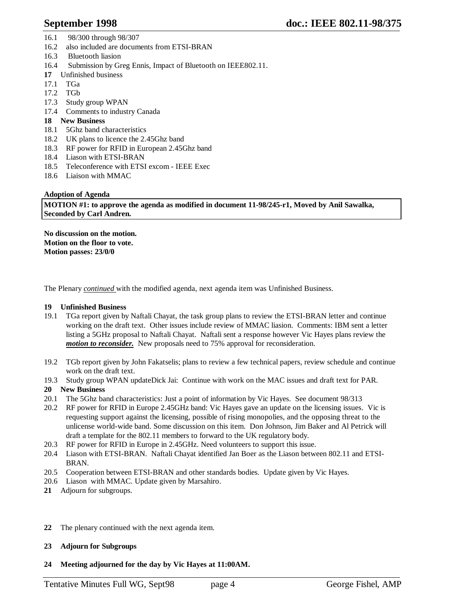- 16.1 98/300 through 98/307
- 16.2 also included are documents from ETSI-BRAN
- 16.3 Bluetooth liasion
- 16.4 Submission by Greg Ennis, Impact of Bluetooth on IEEE802.11.
- **17** Unfinished business
- 17.1 TGa
- 17.2 TGb
- 17.3 Study group WPAN
- 17.4 Comments to industry Canada
- **18 New Business**
- 18.1 5Ghz band characteristics
- 18.2 UK plans to licence the 2.45Ghz band
- 18.3 RF power for RFID in European 2.45Ghz band
- 18.4 Liason with ETSI-BRAN
- 18.5 Teleconference with ETSI excom IEEE Exec
- 18.6 Liaison with MMAC

### **Adoption of Agenda**

**MOTION #1: to approve the agenda as modified in document 11-98/245-r1, Moved by Anil Sawalka, Seconded by Carl Andren.**

**No discussion on the motion. Motion on the floor to vote. Motion passes: 23/0/0**

The Plenary *continued* with the modified agenda, next agenda item was Unfinished Business.

### **19 Unfinished Business**

- 19.1 TGa report given by Naftali Chayat, the task group plans to review the ETSI-BRAN letter and continue working on the draft text. Other issues include review of MMAC liasion. Comments: IBM sent a letter listing a 5GHz proposal to Naftali Chayat. Naftali sent a response however Vic Hayes plans review the *motion to reconsider.* New proposals need to 75% approval for reconsideration.
- 19.2 TGb report given by John Fakatselis; plans to review a few technical papers, review schedule and continue work on the draft text.
- 19.3 Study group WPAN updateDick Jai: Continue with work on the MAC issues and draft text for PAR.

### **20 New Business**

- 20.1 The 5Ghz band characteristics: Just a point of information by Vic Hayes. See document 98/313
- 20.2 RF power for RFID in Europe 2.45GHz band: Vic Hayes gave an update on the licensing issues. Vic is requesting support against the licensing, possible of rising monopolies, and the opposing threat to the unlicense world-wide band. Some discussion on this item. Don Johnson, Jim Baker and Al Petrick will draft a template for the 802.11 members to forward to the UK regulatory body.
- 20.3 RF power for RFID in Europe in 2.45GHz. Need volunteers to support this issue.
- 20.4 Liason with ETSI-BRAN. Naftali Chayat identified Jan Boer as the Liason between 802.11 and ETSI-BRAN.
- 20.5 Cooperation between ETSI-BRAN and other standards bodies. Update given by Vic Hayes.
- 20.6 Liason with MMAC. Update given by Marsahiro.
- **21** Adjourn for subgroups.
- **22** The plenary continued with the next agenda item.
- **23 Adjourn for Subgroups**
- **24 Meeting adjourned for the day by Vic Hayes at 11:00AM.**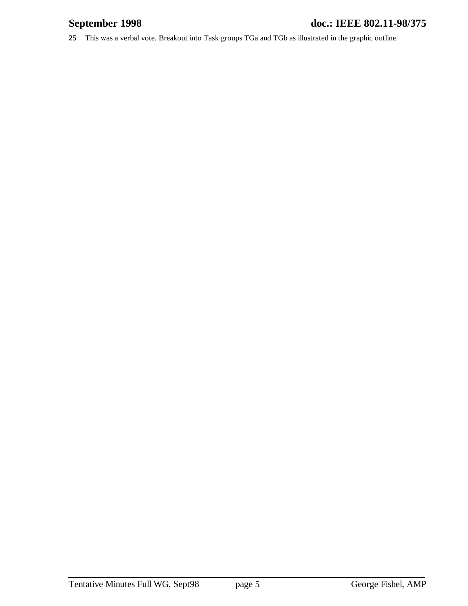**25** This was a verbal vote. Breakout into Task groups TGa and TGb as illustrated in the graphic outline.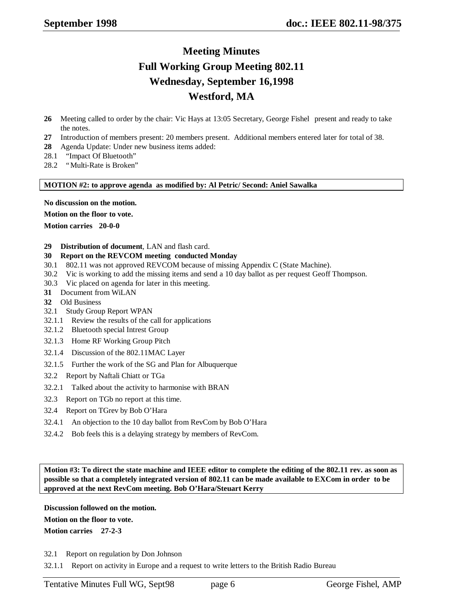## **Meeting Minutes Full Working Group Meeting 802.11 Wednesday, September 16,1998 Westford, MA**

- **26** Meeting called to order by the chair: Vic Hays at 13:05 Secretary, George Fishel present and ready to take the notes.
- **27** Introduction of members present: 20 members present. Additional members entered later for total of 38.
- **28** Agenda Update: Under new business items added:
- 28.1 "Impact Of Bluetooth"
- 28.2 "Multi-Rate is Broken"

**MOTION #2: to approve agenda as modified by: Al Petric/ Second: Aniel Sawalka**

**No discussion on the motion.**

**Motion on the floor to vote.**

**Motion carries 20-0-0**

### **29 Distribution of document**, LAN and flash card.

### **30 Report on the REVCOM meeting conducted Monday**

- 30.1 802.11 was not approved REVCOM because of missing Appendix C (State Machine).
- 30.2 Vic is working to add the missing items and send a 10 day ballot as per request Geoff Thompson.
- 30.3 Vic placed on agenda for later in this meeting.
- **31** Document from WiLAN
- **32** Old Business
- 32.1 Study Group Report WPAN
- 32.1.1 Review the results of the call for applications
- 32.1.2 Bluetooth special Intrest Group
- 32.1.3 Home RF Working Group Pitch
- 32.1.4 Discussion of the 802.11MAC Layer
- 32.1.5 Further the work of the SG and Plan for Albuquerque
- 32.2 Report by Naftali Chiatt or TGa
- 32.2.1 Talked about the activity to harmonise with BRAN
- 32.3 Report on TGb no report at this time.
- 32.4 Report on TGrev by Bob O'Hara
- 32.4.1 An objection to the 10 day ballot from RevCom by Bob O'Hara
- 32.4.2 Bob feels this is a delaying strategy by members of RevCom.

**Motion #3: To direct the state machine and IEEE editor to complete the editing of the 802.11 rev. as soon as possible so that a completely integrated version of 802.11 can be made available to EXCom in order to be approved at the next RevCom meeting. Bob O'Hara/Steuart Kerry**

**Discussion followed on the motion.**

**Motion on the floor to vote.**

**Motion carries 27-2-3**

32.1 Report on regulation by Don Johnson

32.1.1 Report on activity in Europe and a request to write letters to the British Radio Bureau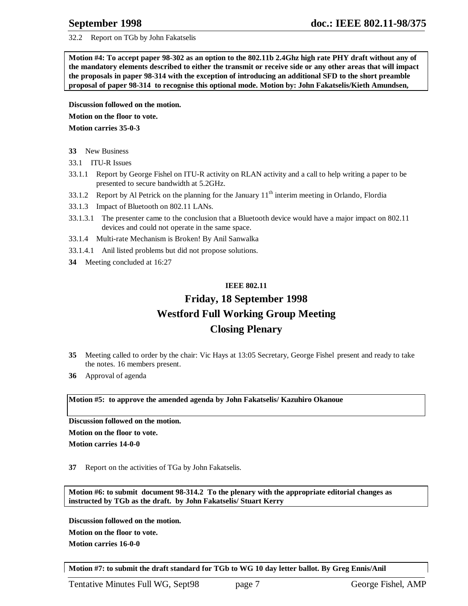32.2 Report on TGb by John Fakatselis

**Motion #4: To accept paper 98-302 as an option to the 802.11b 2.4Ghz high rate PHY draft without any of the mandatory elements described to either the transmit or receive side or any other areas that will impact the proposals in paper 98-314 with the exception of introducing an additional SFD to the short preamble proposal of paper 98-314 to recognise this optional mode. Motion by: John Fakatselis/Kieth Amundsen,**

**Discussion followed on the motion.**

**Motion on the floor to vote.**

**Motion carries 35-0-3**

- **33** New Business
- 33.1 ITU-R Issues
- 33.1.1 Report by George Fishel on ITU-R activity on RLAN activity and a call to help writing a paper to be presented to secure bandwidth at 5.2GHz.
- 33.1.2 Report by Al Petrick on the planning for the January  $11<sup>th</sup>$  interim meeting in Orlando, Flordia
- 33.1.3 Impact of Bluetooth on 802.11 LANs.
- 33.1.3.1 The presenter came to the conclusion that a Bluetooth device would have a major impact on 802.11 devices and could not operate in the same space.
- 33.1.4 Multi-rate Mechanism is Broken! By Anil Sanwalka
- 33.1.4.1 Anil listed problems but did not propose solutions.
- **34** Meeting concluded at 16:27

### **IEEE 802.11**

# **Friday, 18 September 1998 Westford Full Working Group Meeting Closing Plenary**

- **35** Meeting called to order by the chair: Vic Hays at 13:05 Secretary, George Fishel present and ready to take the notes. 16 members present.
- **36** Approval of agenda

**Motion #5: to approve the amended agenda by John Fakatselis/ Kazuhiro Okanoue**

**Discussion followed on the motion.**

**Motion on the floor to vote.**

**Motion carries 14-0-0**

**37** Report on the activities of TGa by John Fakatselis.

**Motion #6: to submit document 98-314.2 To the plenary with the appropriate editorial changes as instructed by TGb as the draft. by John Fakatselis/ Stuart Kerry**

**Discussion followed on the motion. Motion on the floor to vote. Motion carries 16-0-0**

**Motion #7: to submit the draft standard for TGb to WG 10 day letter ballot. By Greg Ennis/Anil**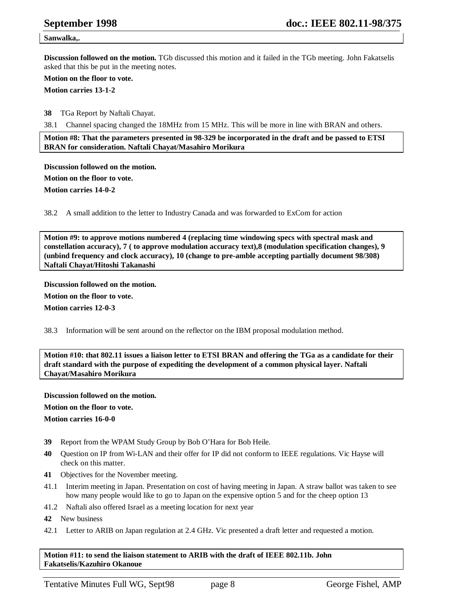#### **Sanwalka,.**

**Discussion followed on the motion.** TGb discussed this motion and it failed in the TGb meeting. John Fakatselis asked that this be put in the meeting notes.

**Motion on the floor to vote.**

**Motion carries 13-1-2**

**38** TGa Report by Naftali Chayat.

38.1 Channel spacing changed the 18MHz from 15 MHz. This will be more in line with BRAN and others.

**Motion #8: That the parameters presented in 98-329 be incorporated in the draft and be passed to ETSI BRAN for consideration. Naftali Chayat/Masahiro Morikura**

**Discussion followed on the motion. Motion on the floor to vote. Motion carries 14-0-2**

38.2 A small addition to the letter to Industry Canada and was forwarded to ExCom for action

**Motion #9: to approve motions numbered 4 (replacing time windowing specs with spectral mask and constellation accuracy), 7 ( to approve modulation accuracy text),8 (modulation specification changes), 9 (unbind frequency and clock accuracy), 10 (change to pre-amble accepting partially document 98/308) Naftali Chayat/Hitoshi Takanashi**

#### **Discussion followed on the motion.**

**Motion on the floor to vote.**

**Motion carries 12-0-3**

38.3 Information will be sent around on the reflector on the IBM proposal modulation method.

**Motion #10: that 802.11 issues a liaison letter to ETSI BRAN and offering the TGa as a candidate for their draft standard with the purpose of expediting the development of a common physical layer. Naftali Chayat/Masahiro Morikura**

**Discussion followed on the motion. Motion on the floor to vote.**

**Motion carries 16-0-0**

- **39** Report from the WPAM Study Group by Bob O'Hara for Bob Heile.
- **40** Question on IP from Wi-LAN and their offer for IP did not conform to IEEE regulations. Vic Hayse will check on this matter.
- **41** Objectives for the November meeting.
- 41.1 Interim meeting in Japan. Presentation on cost of having meeting in Japan. A straw ballot was taken to see how many people would like to go to Japan on the expensive option 5 and for the cheep option 13
- 41.2 Naftali also offered Israel as a meeting location for next year
- **42** New business
- 42.1 Letter to ARIB on Japan regulation at 2.4 GHz. Vic presented a draft letter and requested a motion.

**Motion #11: to send the liaison statement to ARIB with the draft of IEEE 802.11b. John Fakatselis/Kazuhiro Okanoue**

Tentative Minutes Full WG, Sept98 page 8 George Fishel, AMP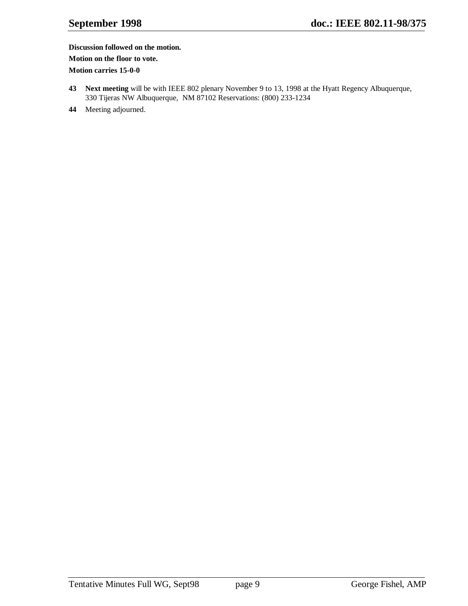### **Discussion followed on the motion.**

**Motion on the floor to vote.**

**Motion carries 15-0-0**

- **43 Next meeting** will be with IEEE 802 plenary November 9 to 13, 1998 at the Hyatt Regency Albuquerque, 330 Tijeras NW Albuquerque, NM 87102 Reservations: (800) 233-1234
- **44** Meeting adjourned.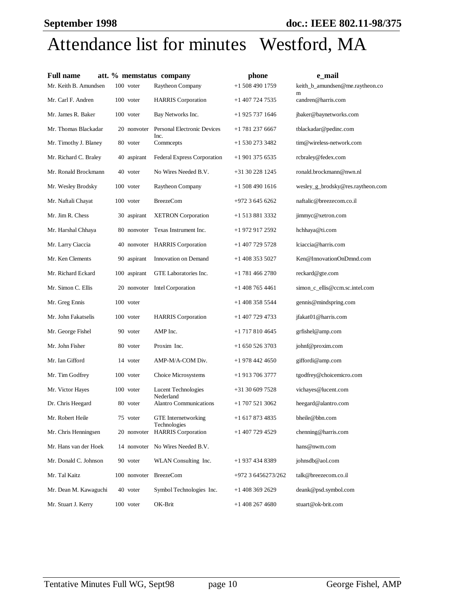# Attendance list for minutes Westford, MA

| <b>Full name</b>      |              | att. % memstatus company                   | phone              | e mail                               |
|-----------------------|--------------|--------------------------------------------|--------------------|--------------------------------------|
| Mr. Keith B. Amundsen | 100 voter    | Raytheon Company                           | $+15084901759$     | keith_b_amundsen@me.raytheon.co<br>m |
| Mr. Carl F. Andren    | 100 voter    | <b>HARRIS</b> Corporation                  | +1 407 724 7535    | candren@harris.com                   |
| Mr. James R. Baker    | 100 voter    | Bay Networks Inc.                          | +1 925 737 1646    | jbaker@baynetworks.com               |
| Mr. Thomas Blackadar  | 20 nonvoter  | Personal Electronic Devices<br>Inc.        | +1 781 237 6667    | tblackadar@pedinc.com                |
| Mr. Timothy J. Blaney | 80 voter     | Commcepts                                  | +1 530 273 3482    | tim@wireless-network.com             |
| Mr. Richard C. Braley | 40 aspirant  | Federal Express Corporation                | +1 901 375 6535    | rcbraley@fedex.com                   |
| Mr. Ronald Brockmann  | 40 voter     | No Wires Needed B.V.                       | +31 30 228 1245    | ronald.brockmann@nwn.nl              |
| Mr. Wesley Brodsky    | 100 voter    | Raytheon Company                           | +1 508 490 1616    | wesley_g_brodsky@res.raytheon.com    |
| Mr. Naftali Chayat    | 100 voter    | <b>BreezeCom</b>                           | +972 3 645 6262    | naftalic@breezecom.co.il             |
| Mr. Jim R. Chess      | 30 aspirant  | <b>XETRON</b> Corporation                  | +1 513 881 3332    | jimmyc@xetron.com                    |
| Mr. Harshal Chhaya    |              | 80 nonvoter Texas Instrument Inc.          | +1 972 917 2592    | hchhaya@ti.com                       |
| Mr. Larry Ciaccia     |              | 40 nonvoter HARRIS Corporation             | +1 407 729 5728    | lciaccia@harris.com                  |
| Mr. Ken Clements      | 90 aspirant  | Innovation on Demand                       | +1 408 353 5027    | Ken@InnovationOnDmnd.com             |
| Mr. Richard Eckard    | 100 aspirant | GTE Laboratories Inc.                      | +1 781 466 2780    | reckard@gte.com                      |
| Mr. Simon C. Ellis    |              | 20 nonvoter Intel Corporation              | +1 408 765 4461    | simon_c_ellis@ccm.sc.intel.com       |
| Mr. Greg Ennis        | 100 voter    |                                            | +1 408 358 5544    | gennis@mindspring.com                |
| Mr. John Fakatselis   | 100 voter    | <b>HARRIS</b> Corporation                  | +1 407 729 4733    | jfakat01@harris.com                  |
| Mr. George Fishel     | 90 voter     | AMP Inc.                                   | +1 717 810 4645    | grfishel@amp.com                     |
| Mr. John Fisher       | 80 voter     | Proxim Inc.                                | +1 650 526 3703    | johnf@proxim.com                     |
| Mr. Ian Gifford       | 14 voter     | AMP-M/A-COM Div.                           | +1 978 442 4650    | giffordi@amp.com                     |
| Mr. Tim Godfrey       | 100 voter    | Choice Microsystems                        | +1 913 706 3777    | tgodfrey@choicemicro.com             |
| Mr. Victor Hayes      | 100 voter    | <b>Lucent Technologies</b><br>Nederland    | +31 30 609 7528    | vichayes@lucent.com                  |
| Dr. Chris Heegard     | 80 voter     | <b>Alantro Communications</b>              | +1 707 521 3062    | heegard@alantro.com                  |
| Mr. Robert Heile      | 75 voter     | <b>GTE</b> Internetworking<br>Technologies | +1 617 873 4835    | bheile@bbn.com                       |
| Mr. Chris Henningsen  | 20 nonvoter  | <b>HARRIS</b> Corporation                  | +1 407 729 4529    | chenning@harris.com                  |
| Mr. Hans van der Hoek |              | 14 nonvoter No Wires Needed B.V.           |                    | hans@nwm.com                         |
| Mr. Donald C. Johnson | 90 voter     | WLAN Consulting Inc.                       | +1 937 434 8389    | johnsdb@aol.com                      |
| Mr. Tal Kaitz         | 100 nonvoter | <b>BreezeCom</b>                           | +972 3 6456273/262 | talk@breezecom.co.il                 |
| Mr. Dean M. Kawaguchi | 40 voter     | Symbol Technologies Inc.                   | $+1$ 408 369 2629  | deank@psd.symbol.com                 |
| Mr. Stuart J. Kerry   | 100 voter    | OK-Brit                                    | +1 408 267 4680    | stuart@ok-brit.com                   |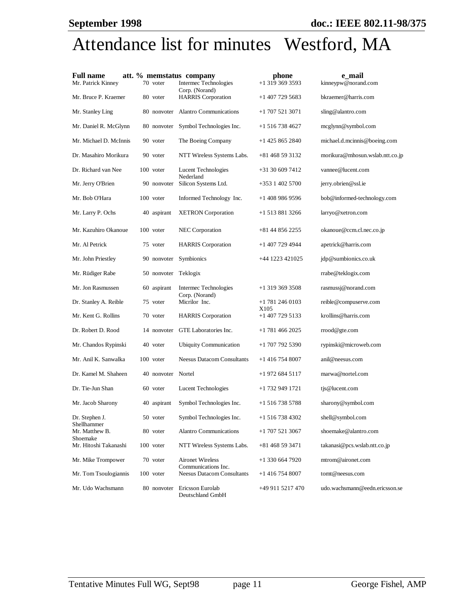# Attendance list for minutes Westford, MA

| <b>Full name</b>              |                    | att. % memstatus company                         | phone                   | e mail                          |
|-------------------------------|--------------------|--------------------------------------------------|-------------------------|---------------------------------|
| Mr. Patrick Kinney            | 70 voter           | Intermec Technologies<br>Corp. (Norand)          | +1 319 369 3593         | kinneypw@norand.com             |
| Mr. Bruce P. Kraemer          | 80 voter           | <b>HARRIS</b> Corporation                        | +1 407 729 5683         | bkraemer@harris.com             |
| Mr. Stanley Ling              |                    | 80 nonvoter Alantro Communications               | +1 707 521 3071         | sling@alantro.com               |
| Mr. Daniel R. McGlynn         | 80 nonvoter        | Symbol Technologies Inc.                         | +1 516 738 4627         | mcglynn@symbol.com              |
| Mr. Michael D. McInnis        | 90 voter           | The Boeing Company                               | +1 425 865 2840         | michael.d.mcinnis@boeing.com    |
| Dr. Masahiro Morikura         | 90 voter           | NTT Wireless Systems Labs.                       | +81 468 59 3132         | morikura@mhosun.wslab.ntt.co.jp |
| Dr. Richard van Nee           | 100 voter          | Lucent Technologies<br>Nederland                 | +31 30 609 7412         | vannee@lucent.com               |
| Mr. Jerry O'Brien             | 90 nonvoter        | Silicon Systems Ltd.                             | +353 1 402 5700         | jerry.obrien@ssl.ie             |
| Mr. Bob O'Hara                | 100 voter          | Informed Technology Inc.                         | +1 408 986 9596         | bob@informed-technology.com     |
| Mr. Larry P. Ochs             | 40 aspirant        | <b>XETRON</b> Corporation                        | +1 513 881 3266         | larryo@xetron.com               |
| Mr. Kazuhiro Okanoue          | 100 voter          | NEC Corporation                                  | +81 44 856 2255         | okanoue@ccm.cl.nec.co.jp        |
| Mr. Al Petrick                | 75 voter           | <b>HARRIS</b> Corporation                        | +1 407 729 4944         | apetrick@harris.com             |
| Mr. John Priestley            | 90 nonvoter        | Symbionics                                       | +44 1223 421025         | jdp@sumbionics.co.uk            |
| Mr. Rüdiger Rabe              | 50 nonvoter        | Teklogix                                         |                         | rrabe@teklogix.com              |
| Mr. Jon Rasmussen             | 60 aspirant        | Intermec Technologies<br>Corp. (Norand)          | +1 319 369 3508         | rasmussj@norand.com             |
| Dr. Stanley A. Reible         | 75 voter           | Micrilor Inc.                                    | +1 781 246 0103<br>X105 | reible@compuserve.com           |
| Mr. Kent G. Rollins           | 70 voter           | <b>HARRIS</b> Corporation                        | +1 407 729 5133         | krollins@harris.com             |
| Dr. Robert D. Rood            | 14 nonvoter        | GTE Laboratories Inc.                            | +1 781 466 2025         | rrood@gte.com                   |
| Mr. Chandos Rypinski          | 40 voter           | <b>Ubiquity Communication</b>                    | +1 707 792 5390         | rypinski@microweb.com           |
| Mr. Anil K. Sanwalka          | 100 voter          | <b>Neesus Datacom Consultants</b>                | +1 416 754 8007         | anil@neesus.com                 |
| Dr. Kamel M. Shaheen          | 40 nonvoter Nortel |                                                  | +1 972 684 5117         | marwa@nortel.com                |
| Dr. Tie-Jun Shan              | 60 voter           | Lucent Technologies                              | +1 732 949 1721         | tjs@lucent.com                  |
| Mr. Jacob Sharony             | 40 aspirant        | Symbol Technologies Inc.                         | +1 516 738 5788         | sharony@symbol.com              |
| Dr. Stephen J.<br>Shellhammer | 50 voter           | Symbol Technologies Inc.                         | +1 516 738 4302         | shell@symbol.com                |
| Mr. Matthew B.<br>Shoemake    | 80 voter           | <b>Alantro Communications</b>                    | +1 707 521 3067         | shoemake@alantro.com            |
| Mr. Hitoshi Takanashi         | 100 voter          | NTT Wireless Systems Labs.                       | +81 468 59 3471         | takanasi@pcs.wslab.ntt.co.jp    |
| Mr. Mike Trompower            | 70 voter           | <b>Aironet Wireless</b><br>Communications Inc.   | +1 330 664 7920         | mtrom@aironet.com               |
| Mr. Tom Tsoulogiannis         | 100 voter          | <b>Neesus Datacom Consultants</b>                | +1 416 754 8007         | tomt@neesus.com                 |
| Mr. Udo Wachsmann             |                    | 80 nonvoter Ericsson Eurolab<br>Deutschland GmbH | +49 911 5217 470        | udo.wachsmann@eedn.ericsson.se  |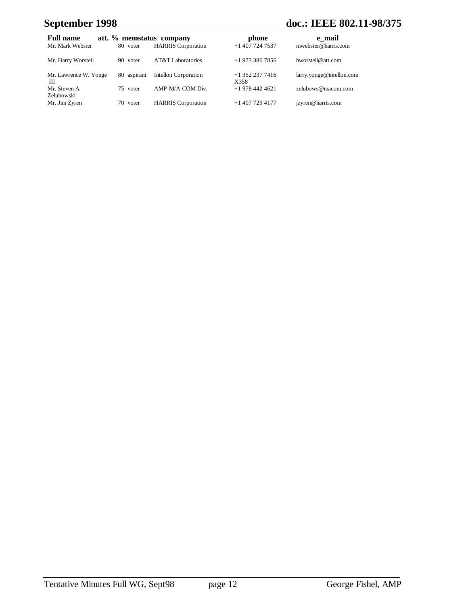# **September 1998 doc.: IEEE 802.11-98/375**

| <b>Full name</b>            |             | att. % memstatus company     | phone                     | e mail                   |
|-----------------------------|-------------|------------------------------|---------------------------|--------------------------|
| Mr. Mark Webster            | 80 voter    | <b>HARRIS</b> Corporation    | $+1$ 407 724 7537         | mwebster@harris.com      |
| Mr. Harry Worstell          | 90 voter    | <b>AT&amp;T</b> Laboratories | $+19733867856$            | hworstell@att.com        |
| Mr. Lawrence W. Yonge<br>Ш  | 80 aspirant | <b>Intellon Corporation</b>  | $+1$ 352 237 7416<br>X358 | larry.yonge@intellon.com |
| Mr. Steven A.<br>Zelubowski | 75 voter    | AMP-M/A-COM Div.             | $+19784424621$            | zelubows@macom.com       |
| Mr. Jim Zyren               | 70 voter    | <b>HARRIS</b> Corporation    | $+14077294177$            | jzyren@harris.com        |